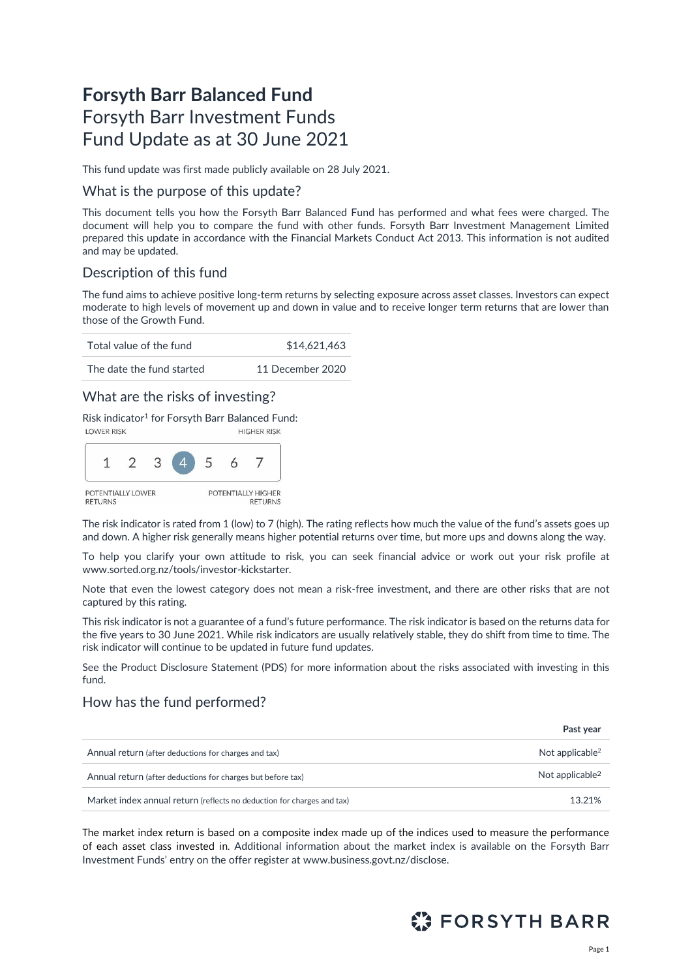# **Forsyth Barr Balanced Fund** Forsyth Barr Investment Funds Fund Update as at 30 June 2021

This fund update was first made publicly available on 28 July 2021.

### What is the purpose of this update?

This document tells you how the Forsyth Barr Balanced Fund has performed and what fees were charged. The document will help you to compare the fund with other funds. Forsyth Barr Investment Management Limited prepared this update in accordance with the Financial Markets Conduct Act 2013. This information is not audited and may be updated.

# Description of this fund

The fund aims to achieve positive long-term returns by selecting exposure across asset classes. Investors can expect moderate to high levels of movement up and down in value and to receive longer term returns that are lower than those of the Growth Fund.

| Total value of the fund   | \$14,621,463     |  |  |
|---------------------------|------------------|--|--|
| The date the fund started | 11 December 2020 |  |  |

### What are the risks of investing?

Risk indicator<sup>1</sup> for Forsyth Barr Balanced Fund:



The risk indicator is rated from 1 (low) to 7 (high). The rating reflects how much the value of the fund's assets goes up and down. A higher risk generally means higher potential returns over time, but more ups and downs along the way.

To help you clarify your own attitude to risk, you can seek financial advice or work out your risk profile at [www.sorted.org.nz/tools/investor-kickstarter.](http://www.sorted.org.nz/tools/investor-kickstarter) 

Note that even the lowest category does not mean a risk-free investment, and there are other risks that are not captured by this rating.

This risk indicator is not a guarantee of a fund's future performance. The risk indicator is based on the returns data for the five years to 30 June 2021. While risk indicators are usually relatively stable, they do shift from time to time. The risk indicator will continue to be updated in future fund updates.

See the Product Disclosure Statement (PDS) for more information about the risks associated with investing in this fund.

### How has the fund performed?

|                                                                        | Past year                   |
|------------------------------------------------------------------------|-----------------------------|
| Annual return (after deductions for charges and tax)                   | Not applicable <sup>2</sup> |
| Annual return (after deductions for charges but before tax)            | Not applicable <sup>2</sup> |
| Market index annual return (reflects no deduction for charges and tax) | 13.21%                      |

The market index return is based on a composite index made up of the indices used to measure the performance of each asset class invested in. Additional information about the market index is available on the Forsyth Barr Investment Funds' entry on the offer register at [www.business.govt.nz/disclose.](http://www.business.govt.nz/disclose)

<span id="page-0-0"></span>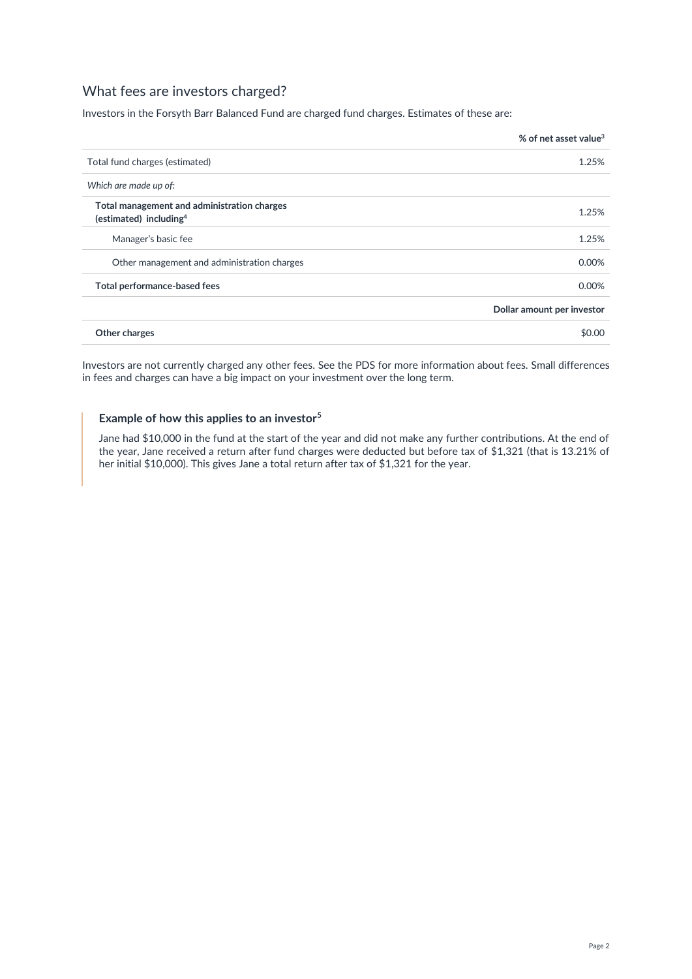# What fees are investors charged?

Investors in the Forsyth Barr Balanced Fund are charged fund charges. Estimates of these are:

|                                                                                   | % of net asset value <sup>3</sup> |
|-----------------------------------------------------------------------------------|-----------------------------------|
| Total fund charges (estimated)                                                    | 1.25%                             |
| Which are made up of:                                                             |                                   |
| Total management and administration charges<br>(estimated) including <sup>4</sup> | 1.25%                             |
| Manager's basic fee                                                               | 1.25%                             |
| Other management and administration charges                                       | 0.00%                             |
| Total performance-based fees                                                      | 0.00%                             |
|                                                                                   | Dollar amount per investor        |
| Other charges                                                                     | \$0.00                            |

Investors are not currently charged any other fees. See the PDS for more information about fees. Small differences in fees and charges can have a big impact on your investment over the long term.

### **Example of how this applies to an investor<sup>5</sup>**

Jane had \$10,000 in the fund at the start of the year and did not make any further contributions. At the end of the year, Jane received a return after fund charges were deducted but before tax of \$1,321 (that is 13.21% of her initial \$10,000). This gives Jane a total return after tax of \$1,321 for the year.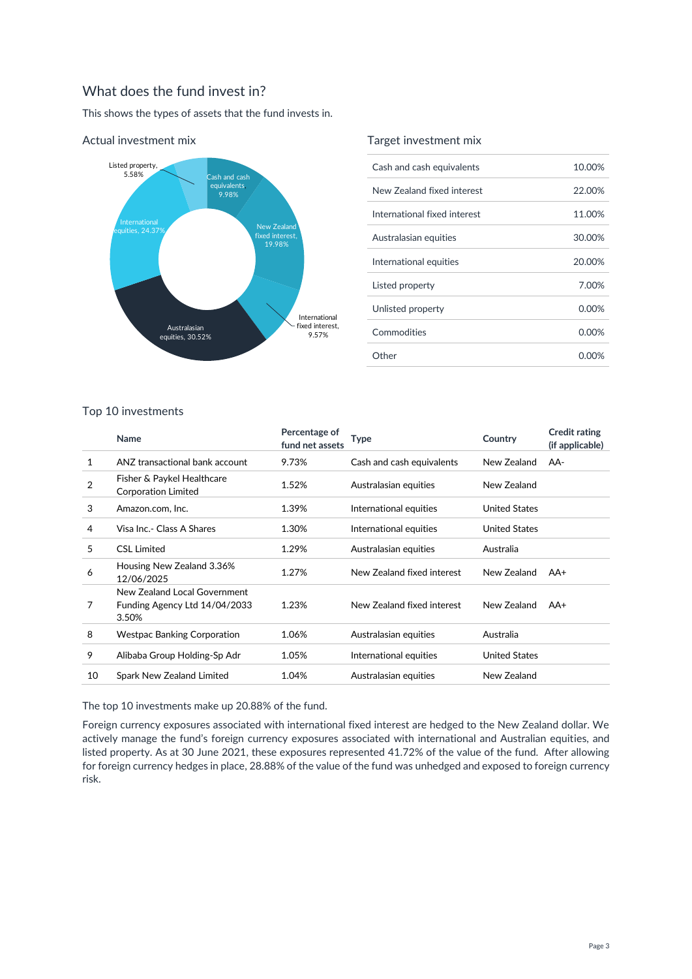# What does the fund invest in?

This shows the types of assets that the fund invests in.



#### Actual investment mix

#### Target investment mix

| Cash and cash equivalents    | 10.00%   |
|------------------------------|----------|
| New Zealand fixed interest   | 22.00%   |
| International fixed interest | 11.00%   |
| Australasian equities        | 30.00%   |
| International equities       | 20.00%   |
| Listed property              | 7.00%    |
| Unlisted property            | $0.00\%$ |
| Commodities                  | $0.00\%$ |
| Other                        | 0.00%    |

#### Top 10 investments

|                | Name                                                                   | Percentage of<br>fund net assets | Type                       | Country              | <b>Credit rating</b><br>(if applicable) |
|----------------|------------------------------------------------------------------------|----------------------------------|----------------------------|----------------------|-----------------------------------------|
| 1              | ANZ transactional bank account                                         | 9.73%                            | Cash and cash equivalents  | New Zealand          | AA-                                     |
| $\overline{2}$ | Fisher & Paykel Healthcare<br>Corporation Limited                      | 1.52%                            | Australasian equities      | New Zealand          |                                         |
| 3              | Amazon.com, Inc.                                                       | 1.39%                            | International equities     | <b>United States</b> |                                         |
| 4              | Visa Inc.- Class A Shares                                              | 1.30%                            | International equities     | <b>United States</b> |                                         |
| 5              | <b>CSL Limited</b>                                                     | 1.29%                            | Australasian equities      | Australia            |                                         |
| 6              | Housing New Zealand 3.36%<br>12/06/2025                                | 1.27%                            | New Zealand fixed interest | New Zealand          | AA+                                     |
| 7              | New Zealand Local Government<br>Funding Agency Ltd 14/04/2033<br>3.50% | 1.23%                            | New Zealand fixed interest | New Zealand          | AA+                                     |
| 8              | <b>Westpac Banking Corporation</b>                                     | 1.06%                            | Australasian equities      | Australia            |                                         |
| 9              | Alibaba Group Holding-Sp Adr                                           | 1.05%                            | International equities     | <b>United States</b> |                                         |
| 10             | Spark New Zealand Limited                                              | 1.04%                            | Australasian equities      | New Zealand          |                                         |
|                |                                                                        |                                  |                            |                      |                                         |

The top 10 investments make up 20.88% of the fund.

Foreign currency exposures associated with international fixed interest are hedged to the New Zealand dollar. We actively manage the fund's foreign currency exposures associated with international and Australian equities, and listed property. As at 30 June 2021, these exposures represented 41.72% of the value of the fund. After allowing for foreign currency hedges in place, 28.88% of the value of the fund was unhedged and exposed to foreign currency risk.